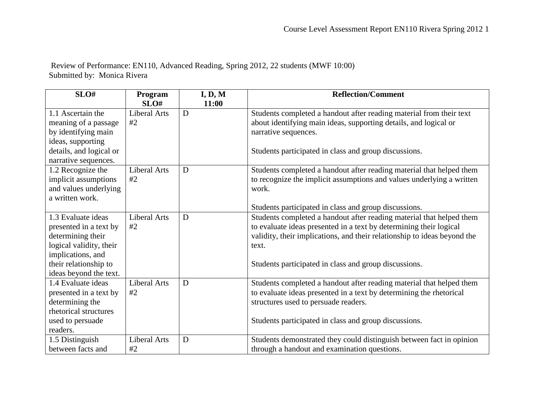Review of Performance: EN110, Advanced Reading, Spring 2012, 22 students (MWF 10:00) Submitted by: Monica Rivera

| SLO#                    | Program             | I, D, M | <b>Reflection/Comment</b>                                                |
|-------------------------|---------------------|---------|--------------------------------------------------------------------------|
|                         | SLO#                | 11:00   |                                                                          |
| 1.1 Ascertain the       | <b>Liberal Arts</b> | D       | Students completed a handout after reading material from their text      |
| meaning of a passage    | #2                  |         | about identifying main ideas, supporting details, and logical or         |
| by identifying main     |                     |         | narrative sequences.                                                     |
| ideas, supporting       |                     |         |                                                                          |
| details, and logical or |                     |         | Students participated in class and group discussions.                    |
| narrative sequences.    |                     |         |                                                                          |
| 1.2 Recognize the       | <b>Liberal Arts</b> | D       | Students completed a handout after reading material that helped them     |
| implicit assumptions    | #2                  |         | to recognize the implicit assumptions and values underlying a written    |
| and values underlying   |                     |         | work.                                                                    |
| a written work.         |                     |         |                                                                          |
|                         |                     |         | Students participated in class and group discussions.                    |
| 1.3 Evaluate ideas      | <b>Liberal Arts</b> | D       | Students completed a handout after reading material that helped them     |
| presented in a text by  | #2                  |         | to evaluate ideas presented in a text by determining their logical       |
| determining their       |                     |         | validity, their implications, and their relationship to ideas beyond the |
| logical validity, their |                     |         | text.                                                                    |
| implications, and       |                     |         |                                                                          |
| their relationship to   |                     |         | Students participated in class and group discussions.                    |
| ideas beyond the text.  |                     |         |                                                                          |
| 1.4 Evaluate ideas      | <b>Liberal Arts</b> | D       | Students completed a handout after reading material that helped them     |
| presented in a text by  | #2                  |         | to evaluate ideas presented in a text by determining the rhetorical      |
| determining the         |                     |         | structures used to persuade readers.                                     |
| rhetorical structures   |                     |         |                                                                          |
| used to persuade        |                     |         | Students participated in class and group discussions.                    |
| readers.                |                     |         |                                                                          |
| 1.5 Distinguish         | <b>Liberal Arts</b> | D       | Students demonstrated they could distinguish between fact in opinion     |
| between facts and       | #2                  |         | through a handout and examination questions.                             |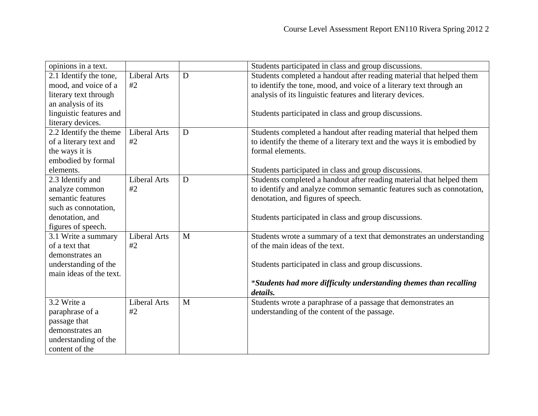| opinions in a text.     |                     |   | Students participated in class and group discussions.                   |
|-------------------------|---------------------|---|-------------------------------------------------------------------------|
| 2.1 Identify the tone,  | <b>Liberal Arts</b> | D | Students completed a handout after reading material that helped them    |
| mood, and voice of a    | #2                  |   | to identify the tone, mood, and voice of a literary text through an     |
| literary text through   |                     |   | analysis of its linguistic features and literary devices.               |
| an analysis of its      |                     |   |                                                                         |
| linguistic features and |                     |   | Students participated in class and group discussions.                   |
| literary devices.       |                     |   |                                                                         |
| 2.2 Identify the theme  | <b>Liberal Arts</b> | D | Students completed a handout after reading material that helped them    |
| of a literary text and  | #2                  |   | to identify the theme of a literary text and the ways it is embodied by |
| the ways it is          |                     |   | formal elements.                                                        |
| embodied by formal      |                     |   |                                                                         |
| elements.               |                     |   | Students participated in class and group discussions.                   |
| 2.3 Identify and        | <b>Liberal Arts</b> | D | Students completed a handout after reading material that helped them    |
| analyze common          | #2                  |   | to identify and analyze common semantic features such as connotation,   |
| semantic features       |                     |   | denotation, and figures of speech.                                      |
| such as connotation,    |                     |   |                                                                         |
| denotation, and         |                     |   | Students participated in class and group discussions.                   |
| figures of speech.      |                     |   |                                                                         |
| 3.1 Write a summary     | <b>Liberal Arts</b> | M | Students wrote a summary of a text that demonstrates an understanding   |
| of a text that          | #2                  |   | of the main ideas of the text.                                          |
| demonstrates an         |                     |   |                                                                         |
| understanding of the    |                     |   | Students participated in class and group discussions.                   |
| main ideas of the text. |                     |   |                                                                         |
|                         |                     |   | *Students had more difficulty understanding themes than recalling       |
|                         |                     |   | details.                                                                |
| 3.2 Write a             | <b>Liberal Arts</b> | M | Students wrote a paraphrase of a passage that demonstrates an           |
| paraphrase of a         | #2                  |   | understanding of the content of the passage.                            |
| passage that            |                     |   |                                                                         |
| demonstrates an         |                     |   |                                                                         |
| understanding of the    |                     |   |                                                                         |
| content of the          |                     |   |                                                                         |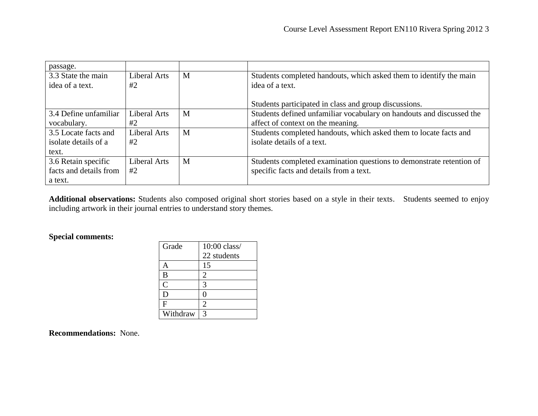| passage.               |                     |   |                                                                      |
|------------------------|---------------------|---|----------------------------------------------------------------------|
| 3.3 State the main     | Liberal Arts        | M | Students completed handouts, which asked them to identify the main   |
| idea of a text.        | #2                  |   | idea of a text.                                                      |
|                        |                     |   |                                                                      |
|                        |                     |   | Students participated in class and group discussions.                |
| 3.4 Define unfamiliar  | <b>Liberal Arts</b> | M | Students defined unfamiliar vocabulary on handouts and discussed the |
| vocabulary.            | #2                  |   | affect of context on the meaning.                                    |
| 3.5 Locate facts and   | <b>Liberal Arts</b> | M | Students completed handouts, which asked them to locate facts and    |
| isolate details of a   | #2                  |   | isolate details of a text.                                           |
| text.                  |                     |   |                                                                      |
| 3.6 Retain specific    | <b>Liberal Arts</b> | M | Students completed examination questions to demonstrate retention of |
| facts and details from | #2                  |   | specific facts and details from a text.                              |
| a text.                |                     |   |                                                                      |

**Additional observations:** Students also composed original short stories based on a style in their texts. Students seemed to enjoy including artwork in their journal entries to understand story themes.

## **Special comments:**

| Grade          | 10:00 class/ |
|----------------|--------------|
|                | 22 students  |
| А              | 15           |
| B              | 2            |
| $\overline{C}$ | 3            |
| D              | 0            |
| F              | 2            |
| Withdraw       | 3            |

**Recommendations:** None.